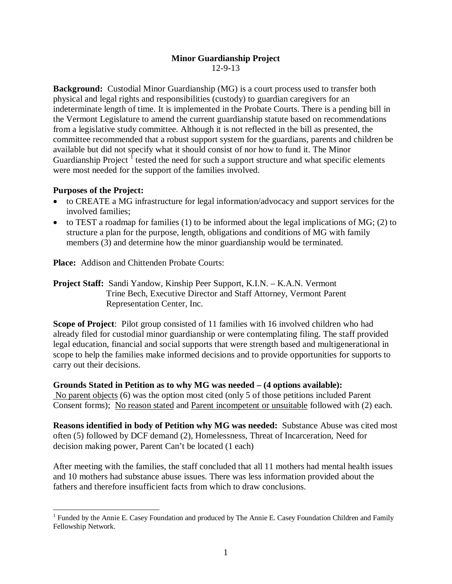#### **Minor Guardianship Project** 12-9-13

**Background:** Custodial Minor Guardianship (MG) is a court process used to transfer both physical and legal rights and responsibilities (custody) to guardian caregivers for an indeterminate length of time. It is implemented in the Probate Courts. There is a pending bill in the Vermont Legislature to amend the current guardianship statute based on recommendations from a legislative study committee. Although it is not reflected in the bill as presented, the committee recommended that a robust support system for the guardians, parents and children be available but did not specify what it should consist of nor how to fund it. The Minor Guardianship Project <sup>I</sup> tested the need for such a support structure and what specific elements were most needed for the support of the families involved.

## **Purposes of the Project:**

- to CREATE a MG infrastructure for legal information/advocacy and support services for the involved families;
- $\bullet$  to TEST a roadmap for families (1) to be informed about the legal implications of MG; (2) to structure a plan for the purpose, length, obligations and conditions of MG with family members (3) and determine how the minor guardianship would be terminated.

**Place:** Addison and Chittenden Probate Courts:

**Project Staff:** Sandi Yandow, Kinship Peer Support, K.I.N. – K.A.N. Vermont Trine Bech, Executive Director and Staff Attorney, Vermont Parent Representation Center, Inc.

**Scope of Project**: Pilot group consisted of 11 families with 16 involved children who had already filed for custodial minor guardianship or were contemplating filing. The staff provided legal education, financial and social supports that were strength based and multigenerational in scope to help the families make informed decisions and to provide opportunities for supports to carry out their decisions.

**Grounds Stated in Petition as to why MG was needed – (4 options available):**  No parent objects (6) was the option most cited (only 5 of those petitions included Parent Consent forms); No reason stated and Parent incompetent or unsuitable followed with (2) each.

**Reasons identified in body of Petition why MG was needed:** Substance Abuse was cited most often (5) followed by DCF demand (2), Homelessness, Threat of Incarceration, Need for decision making power, Parent Can't be located (1 each)

After meeting with the families, the staff concluded that all 11 mothers had mental health issues and 10 mothers had substance abuse issues. There was less information provided about the fathers and therefore insufficient facts from which to draw conclusions.

 $\overline{a}$ <sup>1</sup> Funded by the Annie E. Casey Foundation and produced by The Annie E. Casey Foundation Children and Family Fellowship Network.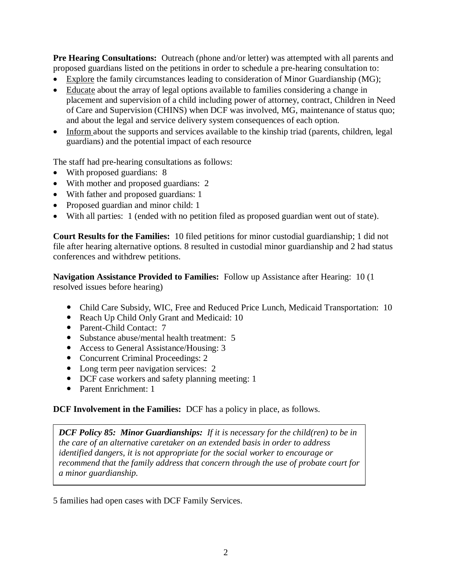**Pre Hearing Consultations:** Outreach (phone and/or letter) was attempted with all parents and proposed guardians listed on the petitions in order to schedule a pre-hearing consultation to:

- Explore the family circumstances leading to consideration of Minor Guardianship (MG);
- Educate about the array of legal options available to families considering a change in placement and supervision of a child including power of attorney, contract, Children in Need of Care and Supervision (CHINS) when DCF was involved, MG, maintenance of status quo; and about the legal and service delivery system consequences of each option.
- Inform about the supports and services available to the kinship triad (parents, children, legal guardians) and the potential impact of each resource

The staff had pre-hearing consultations as follows:

- With proposed guardians: 8
- With mother and proposed guardians: 2
- With father and proposed guardians: 1
- Proposed guardian and minor child: 1
- With all parties: 1 (ended with no petition filed as proposed guardian went out of state).

**Court Results for the Families:** 10 filed petitions for minor custodial guardianship; 1 did not file after hearing alternative options. 8 resulted in custodial minor guardianship and 2 had status conferences and withdrew petitions.

**Navigation Assistance Provided to Families:** Follow up Assistance after Hearing: 10 (1 resolved issues before hearing)

- Child Care Subsidy, WIC, Free and Reduced Price Lunch, Medicaid Transportation: 10
- Reach Up Child Only Grant and Medicaid: 10
- Parent-Child Contact: 7
- Substance abuse/mental health treatment: 5
- Access to General Assistance/Housing: 3
- Concurrent Criminal Proceedings: 2
- Long term peer navigation services: 2
- DCF case workers and safety planning meeting: 1
- Parent Enrichment: 1

## **DCF Involvement in the Families:** DCF has a policy in place, as follows.

*DCF Policy 85: Minor Guardianships: If it is necessary for the child(ren) to be in the care of an alternative caretaker on an extended basis in order to address identified dangers, it is not appropriate for the social worker to encourage or recommend that the family address that concern through the use of probate court for a minor guardianship.* 

5 families had open cases with DCF Family Services.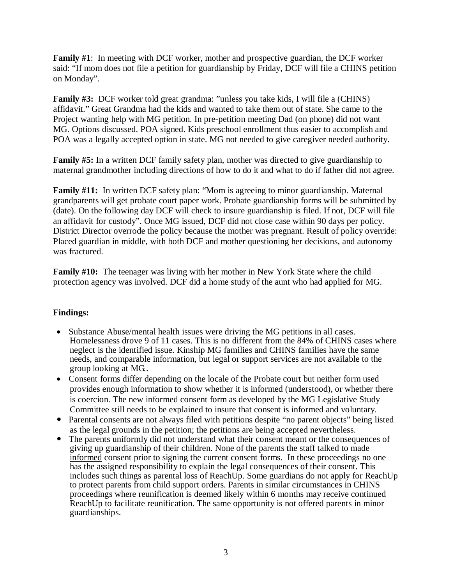**Family #1**: In meeting with DCF worker, mother and prospective guardian, the DCF worker said: "If mom does not file a petition for guardianship by Friday, DCF will file a CHINS petition on Monday".

**Family #3:** DCF worker told great grandma: "unless you take kids, I will file a (CHINS) affidavit." Great Grandma had the kids and wanted to take them out of state. She came to the Project wanting help with MG petition. In pre-petition meeting Dad (on phone) did not want MG. Options discussed. POA signed. Kids preschool enrollment thus easier to accomplish and POA was a legally accepted option in state. MG not needed to give caregiver needed authority.

**Family #5:** In a written DCF family safety plan, mother was directed to give guardianship to maternal grandmother including directions of how to do it and what to do if father did not agree.

**Family #11:** In written DCF safety plan: "Mom is agreeing to minor guardianship. Maternal grandparents will get probate court paper work. Probate guardianship forms will be submitted by (date). On the following day DCF will check to insure guardianship is filed. If not, DCF will file an affidavit for custody". Once MG issued, DCF did not close case within 90 days per policy. District Director overrode the policy because the mother was pregnant. Result of policy override: Placed guardian in middle, with both DCF and mother questioning her decisions, and autonomy was fractured.

**Family #10:** The teenager was living with her mother in New York State where the child protection agency was involved. DCF did a home study of the aunt who had applied for MG.

# **Findings:**

- Substance Abuse/mental health issues were driving the MG petitions in all cases. Homelessness drove 9 of 11 cases. This is no different from the 84% of CHINS cases where neglect is the identified issue. Kinship MG families and CHINS families have the same needs, and comparable information, but legal or support services are not available to the group looking at MG..
- Consent forms differ depending on the locale of the Probate court but neither form used provides enough information to show whether it is informed (understood), or whether there is coercion. The new informed consent form as developed by the MG Legislative Study Committee still needs to be explained to insure that consent is informed and voluntary.
- Parental consents are not always filed with petitions despite "no parent objects" being listed as the legal grounds in the petition; the petitions are being accepted nevertheless.
- The parents uniformly did not understand what their consent meant or the consequences of giving up guardianship of their children. None of the parents the staff talked to made informed consent prior to signing the current consent forms. In these proceedings no one has the assigned responsibility to explain the legal consequences of their consent. This includes such things as parental loss of ReachUp. Some guardians do not apply for ReachUp to protect parents from child support orders. Parents in similar circumstances in CHINS proceedings where reunification is deemed likely within 6 months may receive continued ReachUp to facilitate reunification. The same opportunity is not offered parents in minor guardianships.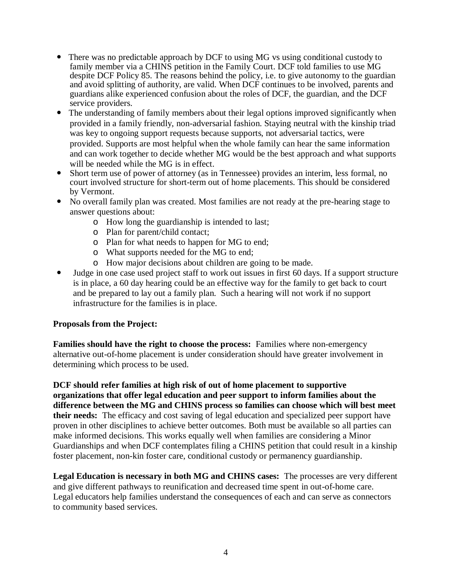- There was no predictable approach by DCF to using MG vs using conditional custody to family member via a CHINS petition in the Family Court. DCF told families to use MG despite DCF Policy 85. The reasons behind the policy, i.e. to give autonomy to the guardian and avoid splitting of authority, are valid. When DCF continues to be involved, parents and guardians alike experienced confusion about the roles of DCF, the guardian, and the DCF service providers.
- The understanding of family members about their legal options improved significantly when provided in a family friendly, non-adversarial fashion. Staying neutral with the kinship triad was key to ongoing support requests because supports, not adversarial tactics, were provided. Supports are most helpful when the whole family can hear the same information and can work together to decide whether MG would be the best approach and what supports will be needed while the MG is in effect.
- Short term use of power of attorney (as in Tennessee) provides an interim, less formal, no court involved structure for short-term out of home placements. This should be considered by Vermont.
- No overall family plan was created. Most families are not ready at the pre-hearing stage to answer questions about:
	- o How long the guardianship is intended to last;
	- o Plan for parent/child contact;
	- o Plan for what needs to happen for MG to end;
	- o What supports needed for the MG to end;
	- o How major decisions about children are going to be made.
- Judge in one case used project staff to work out issues in first 60 days. If a support structure is in place, a 60 day hearing could be an effective way for the family to get back to court and be prepared to lay out a family plan. Such a hearing will not work if no support infrastructure for the families is in place.

#### **Proposals from the Project:**

**Families should have the right to choose the process:** Families where non-emergency alternative out-of-home placement is under consideration should have greater involvement in determining which process to be used.

**DCF should refer families at high risk of out of home placement to supportive organizations that offer legal education and peer support to inform families about the difference between the MG and CHINS process so families can choose which will best meet their needs:** The efficacy and cost saving of legal education and specialized peer support have proven in other disciplines to achieve better outcomes. Both must be available so all parties can make informed decisions. This works equally well when families are considering a Minor Guardianships and when DCF contemplates filing a CHINS petition that could result in a kinship foster placement, non-kin foster care, conditional custody or permanency guardianship.

**Legal Education is necessary in both MG and CHINS cases:** The processes are very different and give different pathways to reunification and decreased time spent in out-of-home care. Legal educators help families understand the consequences of each and can serve as connectors to community based services.